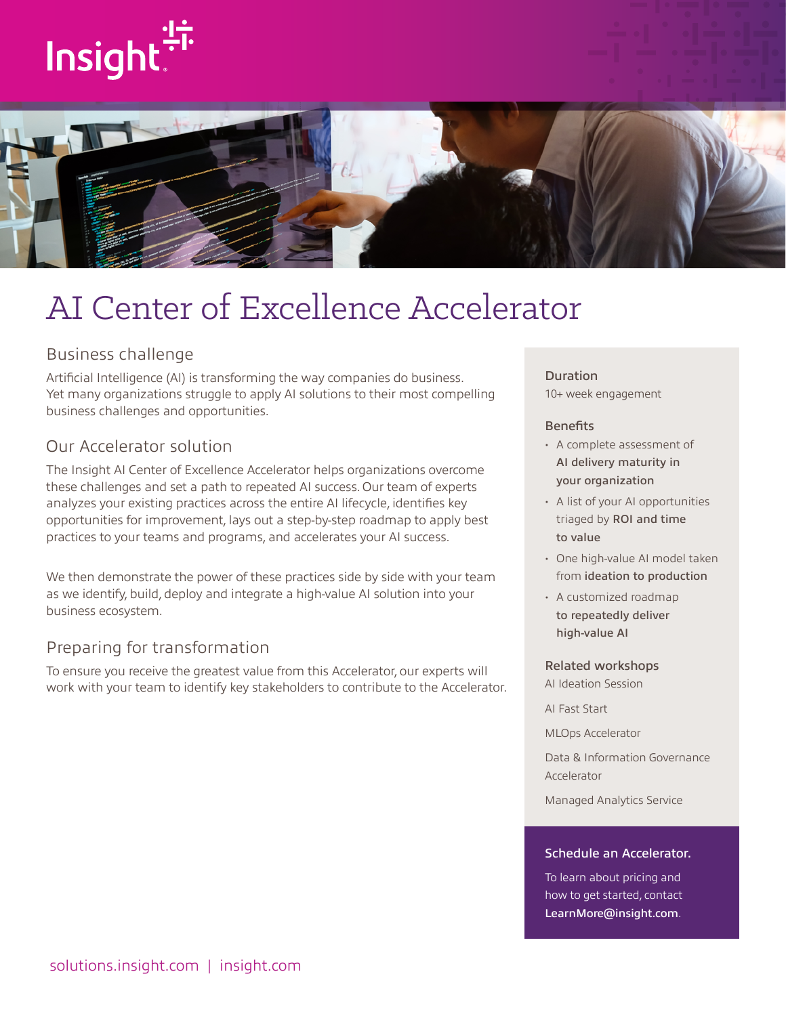# Insight:



# AI Center of Excellence Accelerator

# Business challenge

Artificial Intelligence (AI) is transforming the way companies do business. Yet many organizations struggle to apply AI solutions to their most compelling business challenges and opportunities.

# Our Accelerator solution

The Insight AI Center of Excellence Accelerator helps organizations overcome these challenges and set a path to repeated AI success. Our team of experts analyzes your existing practices across the entire AI lifecycle, identifies key opportunities for improvement, lays out a step-by-step roadmap to apply best practices to your teams and programs, and accelerates your AI success.

We then demonstrate the power of these practices side by side with your team as we identify, build, deploy and integrate a high-value AI solution into your business ecosystem.

# Preparing for transformation

To ensure you receive the greatest value from this Accelerator, our experts will work with your team to identify key stakeholders to contribute to the Accelerator.

#### Duration

10+ week engagement

#### **Benefits**

- A complete assessment of AI delivery maturity in your organization
- A list of your AI opportunities triaged by ROI and time to value
- One high-value AI model taken from ideation to production
- A customized roadmap to repeatedly deliver high-value AI

#### Related workshops

AI Ideation Session

AI Fast Start

MLOps Accelerator

Data & Information Governance Accelerator

Managed Analytics Service

#### Schedule an Accelerator.

To learn about pricing and how to get started, contact [LearnMore@insight.com](mailto:LearnMore@insight.com).